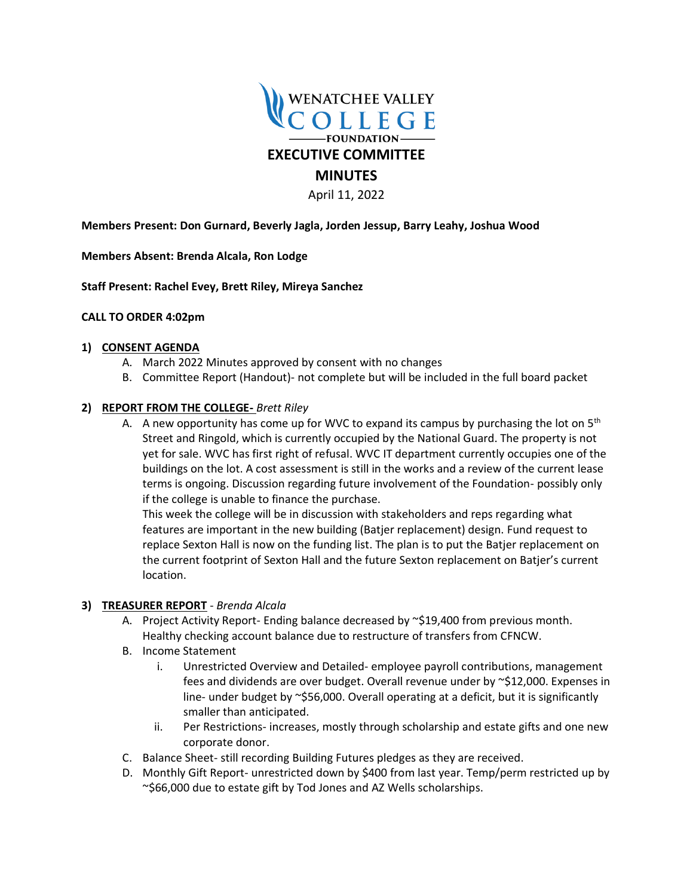

April 11, 2022

**Members Present: Don Gurnard, Beverly Jagla, Jorden Jessup, Barry Leahy, Joshua Wood** 

**Members Absent: Brenda Alcala, Ron Lodge**

**Staff Present: Rachel Evey, Brett Riley, Mireya Sanchez**

### **CALL TO ORDER 4:02pm**

#### **1) CONSENT AGENDA**

- A. March 2022 Minutes approved by consent with no changes
- B. Committee Report (Handout)- not complete but will be included in the full board packet

### **2) REPORT FROM THE COLLEGE-** *Brett Riley*

A. A new opportunity has come up for WVC to expand its campus by purchasing the lot on  $5<sup>th</sup>$ Street and Ringold, which is currently occupied by the National Guard. The property is not yet for sale. WVC has first right of refusal. WVC IT department currently occupies one of the buildings on the lot. A cost assessment is still in the works and a review of the current lease terms is ongoing. Discussion regarding future involvement of the Foundation- possibly only if the college is unable to finance the purchase.

This week the college will be in discussion with stakeholders and reps regarding what features are important in the new building (Batjer replacement) design. Fund request to replace Sexton Hall is now on the funding list. The plan is to put the Batjer replacement on the current footprint of Sexton Hall and the future Sexton replacement on Batjer's current location.

#### **3) TREASURER REPORT** - *Brenda Alcala*

- A. Project Activity Report- Ending balance decreased by ~\$19,400 from previous month. Healthy checking account balance due to restructure of transfers from CFNCW.
- B. Income Statement
	- i. Unrestricted Overview and Detailed- employee payroll contributions, management fees and dividends are over budget. Overall revenue under by ~\$12,000. Expenses in line- under budget by ~\$56,000. Overall operating at a deficit, but it is significantly smaller than anticipated.
	- ii. Per Restrictions- increases, mostly through scholarship and estate gifts and one new corporate donor.
- C. Balance Sheet- still recording Building Futures pledges as they are received.
- D. Monthly Gift Report- unrestricted down by \$400 from last year. Temp/perm restricted up by ~\$66,000 due to estate gift by Tod Jones and AZ Wells scholarships.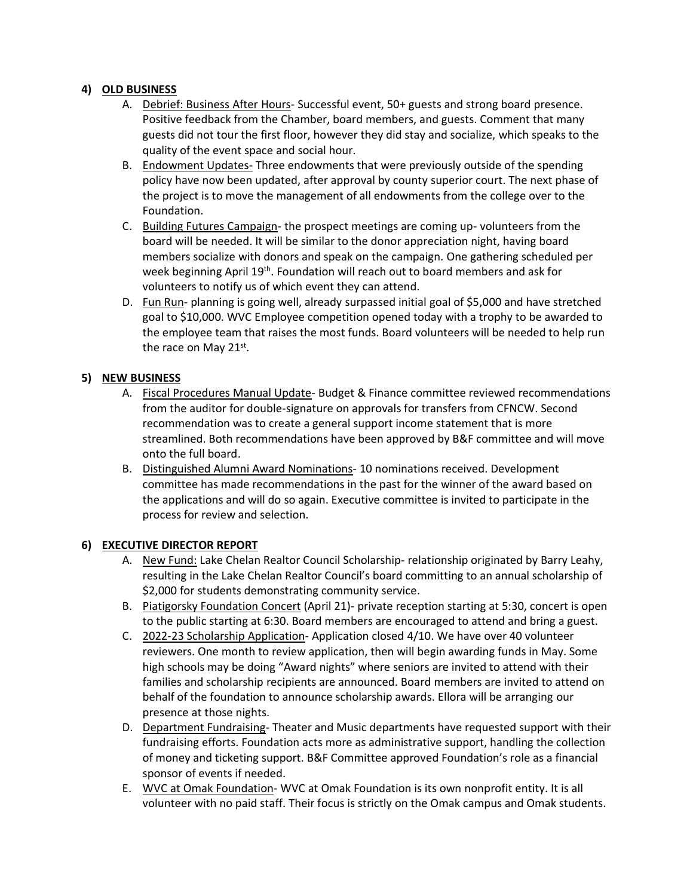## **4) OLD BUSINESS**

- A. Debrief: Business After Hours- Successful event, 50+ guests and strong board presence. Positive feedback from the Chamber, board members, and guests. Comment that many guests did not tour the first floor, however they did stay and socialize, which speaks to the quality of the event space and social hour.
- B. Endowment Updates- Three endowments that were previously outside of the spending policy have now been updated, after approval by county superior court. The next phase of the project is to move the management of all endowments from the college over to the Foundation.
- C. Building Futures Campaign- the prospect meetings are coming up- volunteers from the board will be needed. It will be similar to the donor appreciation night, having board members socialize with donors and speak on the campaign. One gathering scheduled per week beginning April 19<sup>th</sup>. Foundation will reach out to board members and ask for volunteers to notify us of which event they can attend.
- D. Fun Run- planning is going well, already surpassed initial goal of \$5,000 and have stretched goal to \$10,000. WVC Employee competition opened today with a trophy to be awarded to the employee team that raises the most funds. Board volunteers will be needed to help run the race on May 21st.

# **5) NEW BUSINESS**

- A. Fiscal Procedures Manual Update- Budget & Finance committee reviewed recommendations from the auditor for double-signature on approvals for transfers from CFNCW. Second recommendation was to create a general support income statement that is more streamlined. Both recommendations have been approved by B&F committee and will move onto the full board.
- B. Distinguished Alumni Award Nominations- 10 nominations received. Development committee has made recommendations in the past for the winner of the award based on the applications and will do so again. Executive committee is invited to participate in the process for review and selection.

## **6) EXECUTIVE DIRECTOR REPORT**

- A. New Fund: Lake Chelan Realtor Council Scholarship- relationship originated by Barry Leahy, resulting in the Lake Chelan Realtor Council's board committing to an annual scholarship of \$2,000 for students demonstrating community service.
- B. Piatigorsky Foundation Concert (April 21)- private reception starting at 5:30, concert is open to the public starting at 6:30. Board members are encouraged to attend and bring a guest.
- C. 2022-23 Scholarship Application- Application closed 4/10. We have over 40 volunteer reviewers. One month to review application, then will begin awarding funds in May. Some high schools may be doing "Award nights" where seniors are invited to attend with their families and scholarship recipients are announced. Board members are invited to attend on behalf of the foundation to announce scholarship awards. Ellora will be arranging our presence at those nights.
- D. Department Fundraising- Theater and Music departments have requested support with their fundraising efforts. Foundation acts more as administrative support, handling the collection of money and ticketing support. B&F Committee approved Foundation's role as a financial sponsor of events if needed.
- E. WVC at Omak Foundation- WVC at Omak Foundation is its own nonprofit entity. It is all volunteer with no paid staff. Their focus is strictly on the Omak campus and Omak students.